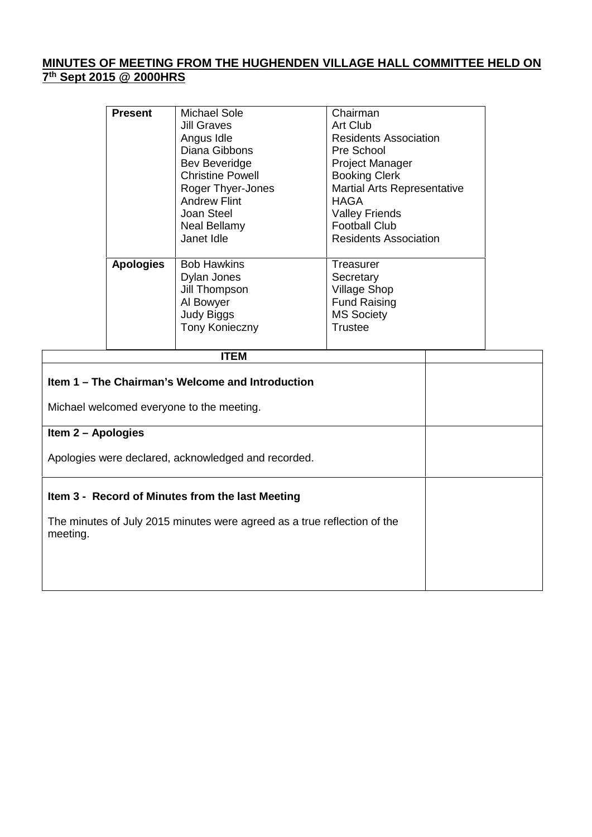## **MINUTES OF MEETING FROM THE HUGHENDEN VILLAGE HALL COMMITTEE HELD ON 7 th Sept 2015 @ 2000HRS**

| <b>Present</b>   | Michael Sole<br><b>Jill Graves</b><br>Angus Idle<br>Diana Gibbons<br>Bev Beveridge<br><b>Christine Powell</b><br>Roger Thyer-Jones<br><b>Andrew Flint</b><br>Joan Steel<br><b>Neal Bellamy</b><br>Janet Idle | Chairman<br>Art Club<br><b>Residents Association</b><br>Pre School<br><b>Project Manager</b><br><b>Booking Clerk</b><br><b>Martial Arts Representative</b><br>HAGA<br><b>Valley Friends</b><br><b>Football Club</b><br><b>Residents Association</b> |
|------------------|--------------------------------------------------------------------------------------------------------------------------------------------------------------------------------------------------------------|-----------------------------------------------------------------------------------------------------------------------------------------------------------------------------------------------------------------------------------------------------|
| <b>Apologies</b> | <b>Bob Hawkins</b><br>Dylan Jones<br>Jill Thompson<br>Al Bowyer<br><b>Judy Biggs</b><br>Tony Konieczny                                                                                                       | Treasurer<br>Secretary<br><b>Village Shop</b><br><b>Fund Raising</b><br><b>MS Society</b><br>Trustee                                                                                                                                                |

| ITEM                                                                                 |  |
|--------------------------------------------------------------------------------------|--|
| Item 1 – The Chairman's Welcome and Introduction                                     |  |
| Michael welcomed everyone to the meeting.                                            |  |
| Item 2 - Apologies                                                                   |  |
| Apologies were declared, acknowledged and recorded.                                  |  |
| Item 3 - Record of Minutes from the last Meeting                                     |  |
| The minutes of July 2015 minutes were agreed as a true reflection of the<br>meeting. |  |
|                                                                                      |  |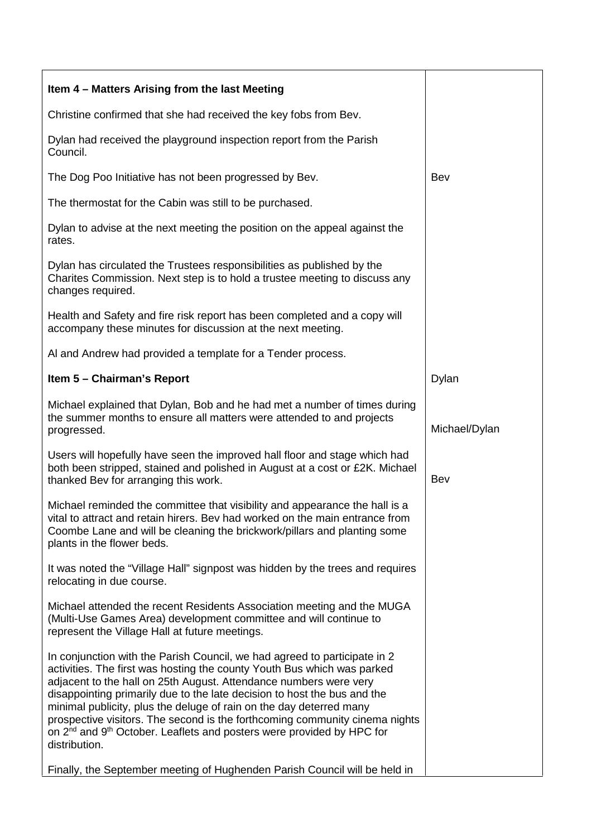| Item 4 – Matters Arising from the last Meeting                                                                                                                                                                                                                                                                                                                                                                                                                                                                                                                                                                                                              |               |
|-------------------------------------------------------------------------------------------------------------------------------------------------------------------------------------------------------------------------------------------------------------------------------------------------------------------------------------------------------------------------------------------------------------------------------------------------------------------------------------------------------------------------------------------------------------------------------------------------------------------------------------------------------------|---------------|
| Christine confirmed that she had received the key fobs from Bev.                                                                                                                                                                                                                                                                                                                                                                                                                                                                                                                                                                                            |               |
| Dylan had received the playground inspection report from the Parish<br>Council.                                                                                                                                                                                                                                                                                                                                                                                                                                                                                                                                                                             |               |
| The Dog Poo Initiative has not been progressed by Bev.                                                                                                                                                                                                                                                                                                                                                                                                                                                                                                                                                                                                      | Bev           |
| The thermostat for the Cabin was still to be purchased.                                                                                                                                                                                                                                                                                                                                                                                                                                                                                                                                                                                                     |               |
| Dylan to advise at the next meeting the position on the appeal against the<br>rates.                                                                                                                                                                                                                                                                                                                                                                                                                                                                                                                                                                        |               |
| Dylan has circulated the Trustees responsibilities as published by the<br>Charites Commission. Next step is to hold a trustee meeting to discuss any<br>changes required.                                                                                                                                                                                                                                                                                                                                                                                                                                                                                   |               |
| Health and Safety and fire risk report has been completed and a copy will<br>accompany these minutes for discussion at the next meeting.                                                                                                                                                                                                                                                                                                                                                                                                                                                                                                                    |               |
| Al and Andrew had provided a template for a Tender process.                                                                                                                                                                                                                                                                                                                                                                                                                                                                                                                                                                                                 |               |
| Item 5 - Chairman's Report                                                                                                                                                                                                                                                                                                                                                                                                                                                                                                                                                                                                                                  | Dylan         |
| Michael explained that Dylan, Bob and he had met a number of times during<br>the summer months to ensure all matters were attended to and projects<br>progressed.                                                                                                                                                                                                                                                                                                                                                                                                                                                                                           | Michael/Dylan |
| Users will hopefully have seen the improved hall floor and stage which had<br>both been stripped, stained and polished in August at a cost or £2K. Michael<br>thanked Bev for arranging this work.                                                                                                                                                                                                                                                                                                                                                                                                                                                          | Bev           |
| Michael reminded the committee that visibility and appearance the hall is a<br>vital to attract and retain hirers. Bev had worked on the main entrance from<br>Coombe Lane and will be cleaning the brickwork/pillars and planting some<br>plants in the flower beds.                                                                                                                                                                                                                                                                                                                                                                                       |               |
| It was noted the "Village Hall" signpost was hidden by the trees and requires<br>relocating in due course.                                                                                                                                                                                                                                                                                                                                                                                                                                                                                                                                                  |               |
| Michael attended the recent Residents Association meeting and the MUGA<br>(Multi-Use Games Area) development committee and will continue to<br>represent the Village Hall at future meetings.                                                                                                                                                                                                                                                                                                                                                                                                                                                               |               |
| In conjunction with the Parish Council, we had agreed to participate in 2<br>activities. The first was hosting the county Youth Bus which was parked<br>adjacent to the hall on 25th August. Attendance numbers were very<br>disappointing primarily due to the late decision to host the bus and the<br>minimal publicity, plus the deluge of rain on the day deterred many<br>prospective visitors. The second is the forthcoming community cinema nights<br>on 2 <sup>nd</sup> and 9 <sup>th</sup> October. Leaflets and posters were provided by HPC for<br>distribution.<br>Finally, the September meeting of Hughenden Parish Council will be held in |               |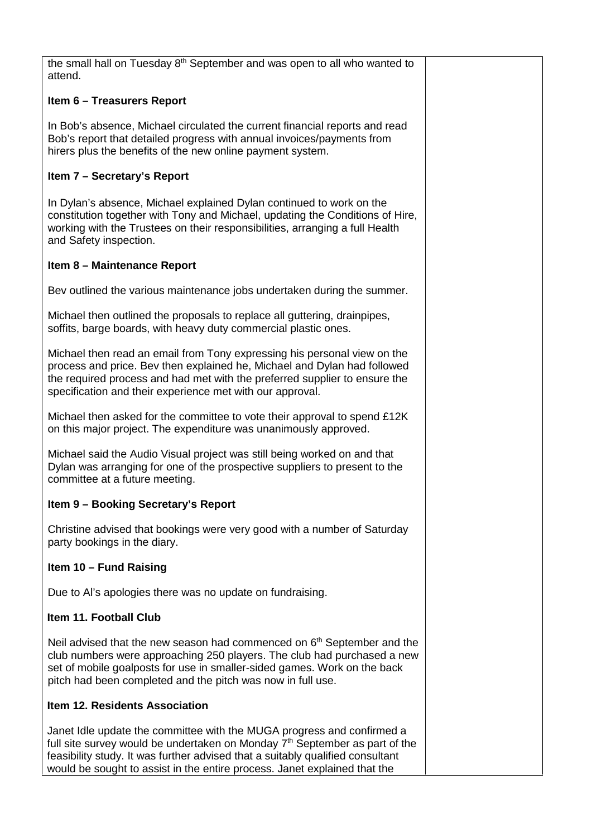the small hall on Tuesday 8<sup>th</sup> September and was open to all who wanted to attend.

### **Item 6 – Treasurers Report**

In Bob's absence, Michael circulated the current financial reports and read Bob's report that detailed progress with annual invoices/payments from hirers plus the benefits of the new online payment system.

### **Item 7 – Secretary's Report**

In Dylan's absence, Michael explained Dylan continued to work on the constitution together with Tony and Michael, updating the Conditions of Hire, working with the Trustees on their responsibilities, arranging a full Health and Safety inspection.

#### **Item 8 – Maintenance Report**

Bev outlined the various maintenance jobs undertaken during the summer.

Michael then outlined the proposals to replace all guttering, drainpipes, soffits, barge boards, with heavy duty commercial plastic ones.

Michael then read an email from Tony expressing his personal view on the process and price. Bev then explained he, Michael and Dylan had followed the required process and had met with the preferred supplier to ensure the specification and their experience met with our approval.

Michael then asked for the committee to vote their approval to spend £12K on this major project. The expenditure was unanimously approved.

Michael said the Audio Visual project was still being worked on and that Dylan was arranging for one of the prospective suppliers to present to the committee at a future meeting.

## **Item 9 – Booking Secretary's Report**

Christine advised that bookings were very good with a number of Saturday party bookings in the diary.

#### **Item 10 – Fund Raising**

Due to Al's apologies there was no update on fundraising.

# **Item 11. Football Club**

Neil advised that the new season had commenced on 6<sup>th</sup> September and the club numbers were approaching 250 players. The club had purchased a new set of mobile goalposts for use in smaller-sided games. Work on the back pitch had been completed and the pitch was now in full use.

# **Item 12. Residents Association**

Janet Idle update the committee with the MUGA progress and confirmed a full site survey would be undertaken on Monday  $7<sup>th</sup>$  September as part of the feasibility study. It was further advised that a suitably qualified consultant would be sought to assist in the entire process. Janet explained that the